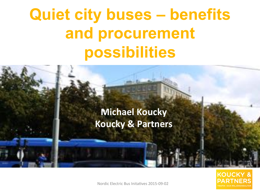#### **Välikommen till välja välikommen till senare som sig varitet som sig varitet som sig varitet som sig varitet s**<br>En element som sig varitat som sig varitat som sig varitat som sig varitat som sig varitat som sig varitat so **Type Systems Quiet city buses – benefits and procurement possibilities**

# $\frac{1}{2}$ **Michael Koucky Koucky & Partners**

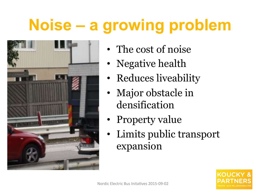## **Noise – a growing problem**



- The cost of noise
- Negative health
- Reduces liveability
- Major obstacle in densification
- Property value
- Limits public transport expansion

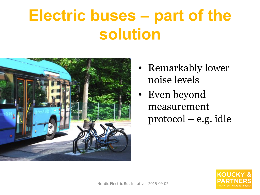#### **Electric buses – part of the solution**



- Remarkably lower noise levels
- Even beyond measurement protocol – e.g. idle

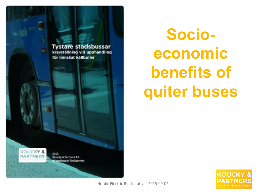

**Socioeconomic benefits of quiter buses** 

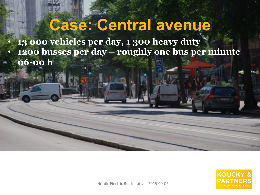#### **Case: Central avenue**

• **13 000 vehicles per day, 1 300 heavy duty** • **1200 busses per day – roughly one bus per minute 06-00 h** 

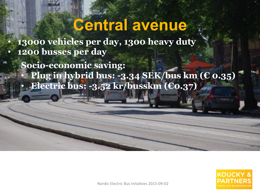#### **Central avenue**

• **13000 vehicles per day, 1300 heavy duty** • **1200 busses per day**

 **Socio-economic saving:**  • **Plug in hybrid bus: -3.34 SEK/bus km (€ 0.35)**  • **Electric bus: -3.52 kr/busskm (€0.37)** 

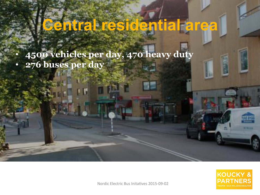## **Central residential area**

• **4500 vehicles per day, 470 heavy duty** • **276 buses per day** 

**:** 

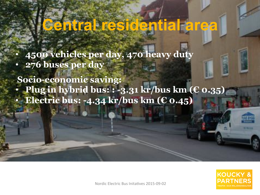#### **Central residential area**

• **4500 vehicles per day, 470 heavy duty** • **276 buses per day** 

**: Socio-economic saving:** • **Plug in hybrid bus: : -3.31 kr/bus km (€ 0.35)**  • **Electric bus: -4.34 kr/bus km (€ 0.45)**

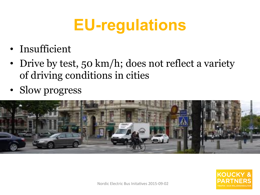## **EU-regulations**

- Insufficient
- Drive by test, 50 km/h; does not reflect a variety of driving conditions in cities
- Slow progress



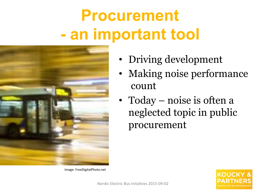## **Procurement - an important tool**



Image: FreeDigitalPhoto.net

- Driving development
- Making noise performance count
- Today noise is often a neglected topic in public procurement

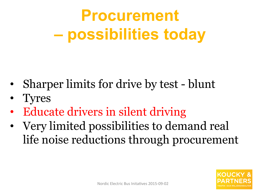## **Procurement – possibilities today**

- Sharper limits for drive by test blunt
- Tyres
- Educate drivers in silent driving
- Very limited possibilities to demand real life noise reductions through procurement

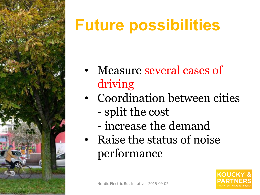

## **Future possibilities**

- Measure several cases of driving
- Coordination between cities - split the cost
	- increase the demand
- Raise the status of noise performance

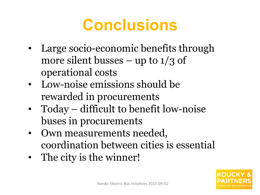#### **Conclusions**

- Large socio-economic benefits through more silent busses – up to  $1/3$  of operational costs
- Low-noise emissions should be rewarded in procurements
- Today difficult to benefit low-noise buses in procurements
- Own measurements needed, coordination between cities is essential
- The city is the winner!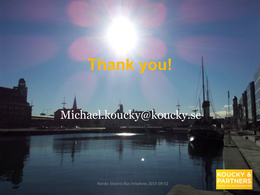#### **Thank you!**

#### Michael.koucky@koucky.se

**KOUCKY &**